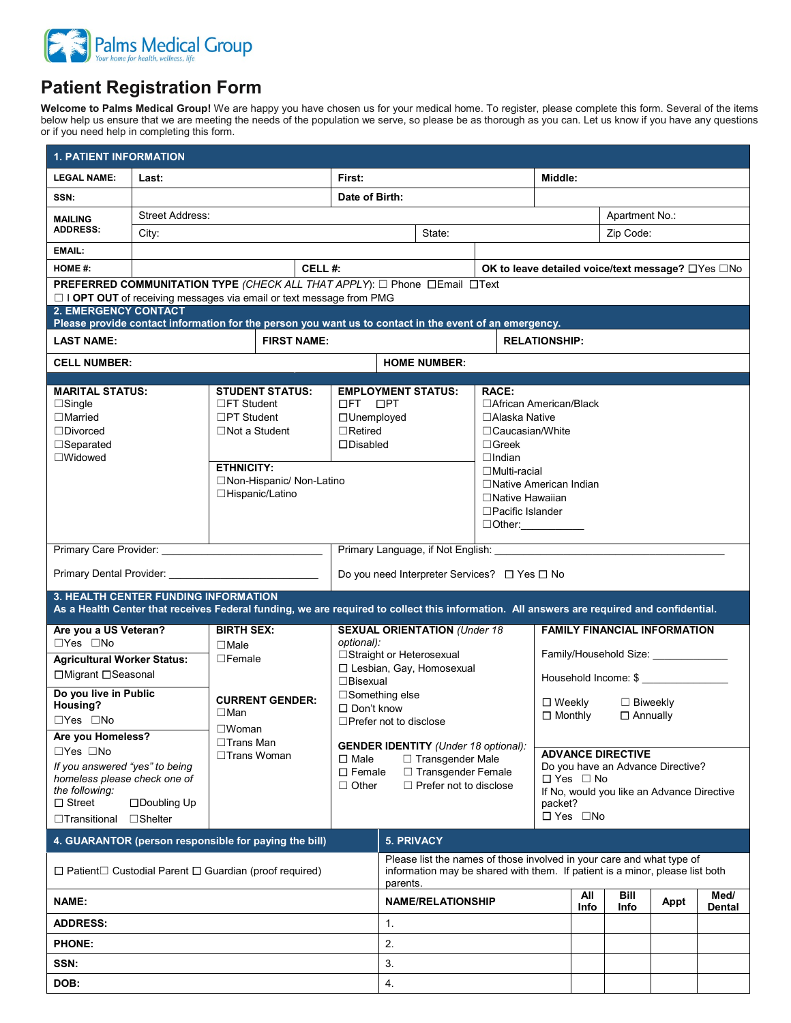

## **Patient Registration Form**

**Welcome to Palms Medical Group!** We are happy you have chosen us for your medical home. To register, please complete this form. Several of the items below help us ensure that we are meeting the needs of the population we serve, so please be as thorough as you can. Let us know if you have any questions or if you need help in completing this form.

| <b>1. PATIENT INFORMATION</b>                                                                                                                                                                                                                                                                                                                          |                                |                                                                                                                                                                |                                                                                                                                                                               |                                                                                                                                                                                                                                                                         |                                                                          |                                                                                                                                                              |             |                                                   |                                     |                |  |
|--------------------------------------------------------------------------------------------------------------------------------------------------------------------------------------------------------------------------------------------------------------------------------------------------------------------------------------------------------|--------------------------------|----------------------------------------------------------------------------------------------------------------------------------------------------------------|-------------------------------------------------------------------------------------------------------------------------------------------------------------------------------|-------------------------------------------------------------------------------------------------------------------------------------------------------------------------------------------------------------------------------------------------------------------------|--------------------------------------------------------------------------|--------------------------------------------------------------------------------------------------------------------------------------------------------------|-------------|---------------------------------------------------|-------------------------------------|----------------|--|
| <b>LEGAL NAME:</b>                                                                                                                                                                                                                                                                                                                                     | Last:                          |                                                                                                                                                                |                                                                                                                                                                               | First:                                                                                                                                                                                                                                                                  |                                                                          | Middle:                                                                                                                                                      |             |                                                   |                                     |                |  |
| SSN:                                                                                                                                                                                                                                                                                                                                                   |                                |                                                                                                                                                                | Date of Birth:                                                                                                                                                                |                                                                                                                                                                                                                                                                         |                                                                          |                                                                                                                                                              |             |                                                   |                                     |                |  |
| <b>MAILING</b><br><b>ADDRESS:</b>                                                                                                                                                                                                                                                                                                                      | Street Address:                |                                                                                                                                                                |                                                                                                                                                                               |                                                                                                                                                                                                                                                                         |                                                                          | Apartment No.:                                                                                                                                               |             |                                                   |                                     |                |  |
|                                                                                                                                                                                                                                                                                                                                                        | City:                          |                                                                                                                                                                | State:                                                                                                                                                                        |                                                                                                                                                                                                                                                                         |                                                                          |                                                                                                                                                              | Zip Code:   |                                                   |                                     |                |  |
| <b>EMAIL:</b>                                                                                                                                                                                                                                                                                                                                          |                                |                                                                                                                                                                |                                                                                                                                                                               |                                                                                                                                                                                                                                                                         |                                                                          |                                                                                                                                                              |             |                                                   |                                     |                |  |
| HOME #:                                                                                                                                                                                                                                                                                                                                                | CELL#:                         |                                                                                                                                                                |                                                                                                                                                                               |                                                                                                                                                                                                                                                                         |                                                                          |                                                                                                                                                              |             | OK to leave detailed voice/text message? □Yes □No |                                     |                |  |
|                                                                                                                                                                                                                                                                                                                                                        |                                | PREFERRED COMMUNITATION TYPE (CHECK ALL THAT APPLY): □ Phone □Email □Text<br>□ I OPT OUT of receiving messages via email or text message from PMG              |                                                                                                                                                                               |                                                                                                                                                                                                                                                                         |                                                                          |                                                                                                                                                              |             |                                                   |                                     |                |  |
| <b>2. EMERGENCY CONTACT</b>                                                                                                                                                                                                                                                                                                                            |                                |                                                                                                                                                                |                                                                                                                                                                               |                                                                                                                                                                                                                                                                         |                                                                          |                                                                                                                                                              |             |                                                   |                                     |                |  |
|                                                                                                                                                                                                                                                                                                                                                        |                                | Please provide contact information for the person you want us to contact in the event of an emergency.                                                         |                                                                                                                                                                               |                                                                                                                                                                                                                                                                         |                                                                          |                                                                                                                                                              |             |                                                   |                                     |                |  |
| <b>LAST NAME:</b>                                                                                                                                                                                                                                                                                                                                      |                                | <b>FIRST NAME:</b>                                                                                                                                             |                                                                                                                                                                               |                                                                                                                                                                                                                                                                         |                                                                          | <b>RELATIONSHIP:</b>                                                                                                                                         |             |                                                   |                                     |                |  |
| <b>CELL NUMBER:</b>                                                                                                                                                                                                                                                                                                                                    |                                |                                                                                                                                                                |                                                                                                                                                                               | <b>HOME NUMBER:</b>                                                                                                                                                                                                                                                     |                                                                          |                                                                                                                                                              |             |                                                   |                                     |                |  |
| <b>MARITAL STATUS:</b><br>$\Box$ Single<br>$\Box$ Married<br>$\Box$ Divorced<br>$\Box$ Separated<br>$\square$ Widowed                                                                                                                                                                                                                                  |                                | <b>STUDENT STATUS:</b><br>$\Box$ FT Student<br>$\Box$ PT Student<br>$\Box$ Not a Student<br><b>ETHNICITY:</b><br>□Non-Hispanic/ Non-Latino<br>□Hispanic/Latino | <b>EMPLOYMENT STATUS:</b><br>$\Box$ FT $\Box$ PT<br>$\Box$ Unemployed<br>$\Box$ Retired<br>$\Box$ Disabled                                                                    | <b>RACE:</b><br>$\Box$ African American/Black<br>□Alaska Native<br>$\Box$ Caucasian/White<br>$\Box$ Greek<br>$\Box$ Indian<br>$\Box$ Multi-racial<br>□ Native American Indian<br>□ Native Hawaiian<br>$\Box$ Pacific Islander<br>$\Box$ Other: $\_\_\_\_\_\_\_\_\_\_\_$ |                                                                          |                                                                                                                                                              |             |                                                   |                                     |                |  |
| Primary Care Provider: Network and Contract the Contract of the Contract of the Contract of the Contract of the<br><b>Primary Dental Provider:</b> Note that the set of the set of the set of the set of the set of the set of the set of the set of the set of the set of the set of the set of the set of the set of the set of the set of the set o |                                |                                                                                                                                                                | Primary Language, if Not English: ____________<br>Do you need Interpreter Services? □ Yes □ No                                                                                |                                                                                                                                                                                                                                                                         |                                                                          |                                                                                                                                                              |             |                                                   |                                     |                |  |
| 3. HEALTH CENTER FUNDING INFORMATION<br>As a Health Center that receives Federal funding, we are required to collect this information. All answers are required and confidential.                                                                                                                                                                      |                                |                                                                                                                                                                |                                                                                                                                                                               |                                                                                                                                                                                                                                                                         |                                                                          |                                                                                                                                                              |             |                                                   |                                     |                |  |
| Are you a US Veteran?                                                                                                                                                                                                                                                                                                                                  |                                | <b>BIRTH SEX:</b>                                                                                                                                              |                                                                                                                                                                               | <b>SEXUAL ORIENTATION (Under 18)</b>                                                                                                                                                                                                                                    |                                                                          |                                                                                                                                                              |             |                                                   | <b>FAMILY FINANCIAL INFORMATION</b> |                |  |
| $\Box$ Yes $\Box$ No<br><b>Agricultural Worker Status:</b>                                                                                                                                                                                                                                                                                             |                                | $\Box$ Male<br>$\Box$ Female                                                                                                                                   | optional):<br>□Straight or Heterosexual                                                                                                                                       |                                                                                                                                                                                                                                                                         |                                                                          | Family/Household Size: _____________                                                                                                                         |             |                                                   |                                     |                |  |
| □ Migrant □ Seasonal                                                                                                                                                                                                                                                                                                                                   |                                |                                                                                                                                                                |                                                                                                                                                                               | □ Lesbian, Gay, Homosexual                                                                                                                                                                                                                                              |                                                                          |                                                                                                                                                              |             |                                                   |                                     |                |  |
| Do you live in Public                                                                                                                                                                                                                                                                                                                                  |                                |                                                                                                                                                                |                                                                                                                                                                               | $\Box$ Bisexual<br>□Something else                                                                                                                                                                                                                                      |                                                                          | Household Income: \$                                                                                                                                         |             |                                                   |                                     |                |  |
| Housing?                                                                                                                                                                                                                                                                                                                                               |                                | <b>CURRENT GENDER:</b><br>$\square$ Man                                                                                                                        | $\Box$ Don't know<br>$\Box$ Prefer not to disclose                                                                                                                            |                                                                                                                                                                                                                                                                         | $\square$ Weekly<br>$\Box$ Biweekly<br>$\Box$ Annually<br>$\Box$ Monthly |                                                                                                                                                              |             |                                                   |                                     |                |  |
| $\square$ Yes $\square$ No<br>Are you Homeless?                                                                                                                                                                                                                                                                                                        |                                | $\square$ Woman                                                                                                                                                |                                                                                                                                                                               |                                                                                                                                                                                                                                                                         |                                                                          |                                                                                                                                                              |             |                                                   |                                     |                |  |
| $\Box$ Yes $\Box$ No<br>If you answered "yes" to being<br>homeless please check one of<br>the following:<br>$\Box$ Street<br>$\Box$ Transitional                                                                                                                                                                                                       | □Doubling Up<br>$\Box$ Shelter | $\Box$ Trans Man<br>$\Box$ Trans Woman                                                                                                                         | <b>GENDER IDENTITY</b> (Under 18 optional):<br>□ Transgender Male<br>$\square$ Male<br>□ Transgender Female<br>$\Box$ Female<br>$\Box$ Prefer not to disclose<br>$\Box$ Other |                                                                                                                                                                                                                                                                         |                                                                          | <b>ADVANCE DIRECTIVE</b><br>Do you have an Advance Directive?<br>$\Box$ Yes $\Box$ No<br>If No, would you like an Advance Directive<br>packet?<br>□ Yes □ No |             |                                                   |                                     |                |  |
|                                                                                                                                                                                                                                                                                                                                                        |                                | 4. GUARANTOR (person responsible for paying the bill)                                                                                                          |                                                                                                                                                                               | <b>5. PRIVACY</b>                                                                                                                                                                                                                                                       |                                                                          |                                                                                                                                                              |             |                                                   |                                     |                |  |
| $\Box$ Patient $\Box$ Custodial Parent $\Box$ Guardian (proof required)                                                                                                                                                                                                                                                                                |                                |                                                                                                                                                                |                                                                                                                                                                               | Please list the names of those involved in your care and what type of<br>information may be shared with them. If patient is a minor, please list both<br>parents.                                                                                                       |                                                                          |                                                                                                                                                              |             |                                                   |                                     |                |  |
| <b>NAME:</b>                                                                                                                                                                                                                                                                                                                                           |                                |                                                                                                                                                                |                                                                                                                                                                               | <b>NAME/RELATIONSHIP</b>                                                                                                                                                                                                                                                |                                                                          |                                                                                                                                                              | All<br>Info | <b>Bill</b><br>Info                               | Appt                                | Med/<br>Dental |  |
| <b>ADDRESS:</b>                                                                                                                                                                                                                                                                                                                                        |                                |                                                                                                                                                                |                                                                                                                                                                               | 1.                                                                                                                                                                                                                                                                      |                                                                          |                                                                                                                                                              |             |                                                   |                                     |                |  |
| <b>PHONE:</b>                                                                                                                                                                                                                                                                                                                                          |                                |                                                                                                                                                                |                                                                                                                                                                               | 2.                                                                                                                                                                                                                                                                      |                                                                          |                                                                                                                                                              |             |                                                   |                                     |                |  |
| SSN:                                                                                                                                                                                                                                                                                                                                                   |                                |                                                                                                                                                                |                                                                                                                                                                               | 3.                                                                                                                                                                                                                                                                      |                                                                          |                                                                                                                                                              |             |                                                   |                                     |                |  |
| DOB:                                                                                                                                                                                                                                                                                                                                                   |                                | 4.                                                                                                                                                             |                                                                                                                                                                               |                                                                                                                                                                                                                                                                         |                                                                          |                                                                                                                                                              |             |                                                   |                                     |                |  |